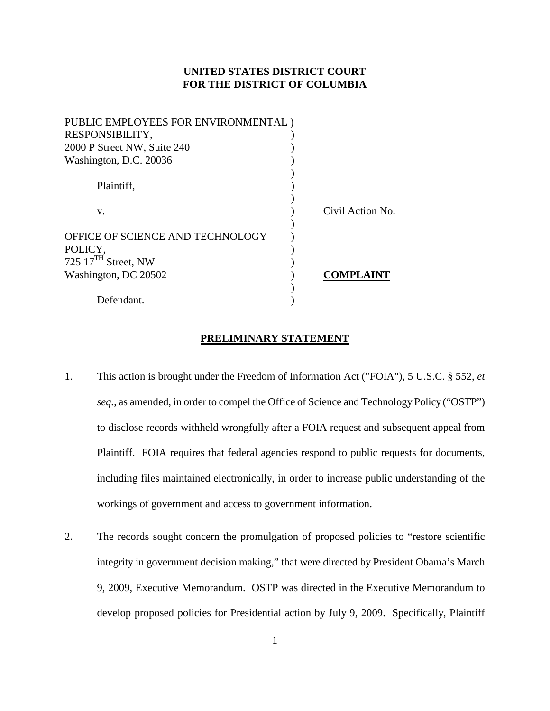# **UNITED STATES DISTRICT COURT FOR THE DISTRICT OF COLUMBIA**

| PUBLIC EMPLOYEES FOR ENVIRONMENTAL) |                  |
|-------------------------------------|------------------|
| RESPONSIBILITY,                     |                  |
| 2000 P Street NW, Suite 240         |                  |
| Washington, D.C. 20036              |                  |
|                                     |                  |
| Plaintiff,                          |                  |
|                                     |                  |
| V.                                  | Civil Action No. |
|                                     |                  |
| OFFICE OF SCIENCE AND TECHNOLOGY    |                  |
| POLICY,                             |                  |
| 725 $17TH$ Street, NW               |                  |
| Washington, DC 20502                | <b>COMPLAIN</b>  |
|                                     |                  |
| Defendant.                          |                  |

#### **PRELIMINARY STATEMENT**

- 1. This action is brought under the Freedom of Information Act ("FOIA"), 5 U.S.C. § 552, *et seq.*, as amended, in order to compel the Office of Science and Technology Policy ("OSTP") to disclose records withheld wrongfully after a FOIA request and subsequent appeal from Plaintiff. FOIA requires that federal agencies respond to public requests for documents, including files maintained electronically, in order to increase public understanding of the workings of government and access to government information.
- 2. The records sought concern the promulgation of proposed policies to "restore scientific integrity in government decision making," that were directed by President Obama's March 9, 2009, Executive Memorandum. OSTP was directed in the Executive Memorandum to develop proposed policies for Presidential action by July 9, 2009. Specifically, Plaintiff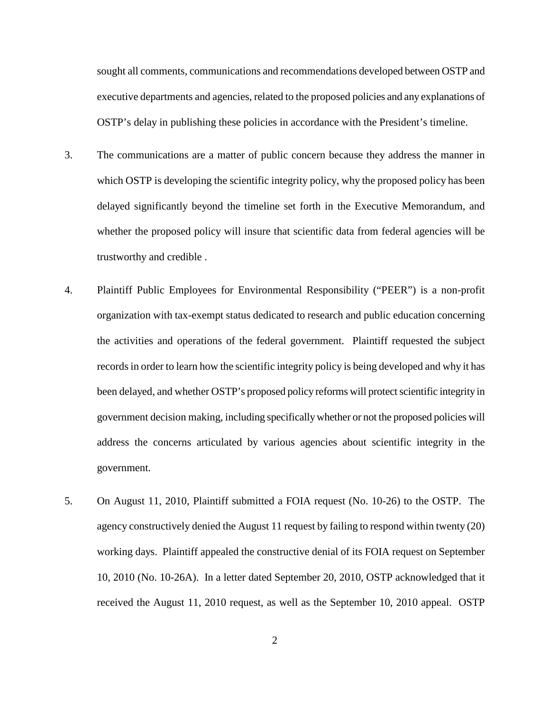sought all comments, communications and recommendations developed between OSTP and executive departments and agencies, related to the proposed policies and any explanations of OSTP's delay in publishing these policies in accordance with the President's timeline.

- 3. The communications are a matter of public concern because they address the manner in which OSTP is developing the scientific integrity policy, why the proposed policy has been delayed significantly beyond the timeline set forth in the Executive Memorandum, and whether the proposed policy will insure that scientific data from federal agencies will be trustworthy and credible .
- 4. Plaintiff Public Employees for Environmental Responsibility ("PEER") is a non-profit organization with tax-exempt status dedicated to research and public education concerning the activities and operations of the federal government. Plaintiff requested the subject records in order to learn how the scientific integrity policy is being developed and why it has been delayed, and whether OSTP's proposed policy reforms will protect scientific integrity in government decision making, including specifically whether or not the proposed policies will address the concerns articulated by various agencies about scientific integrity in the government.
- 5. On August 11, 2010, Plaintiff submitted a FOIA request (No. 10-26) to the OSTP. The agency constructively denied the August 11 request by failing to respond within twenty (20) working days. Plaintiff appealed the constructive denial of its FOIA request on September 10, 2010 (No. 10-26A). In a letter dated September 20, 2010, OSTP acknowledged that it received the August 11, 2010 request, as well as the September 10, 2010 appeal. OSTP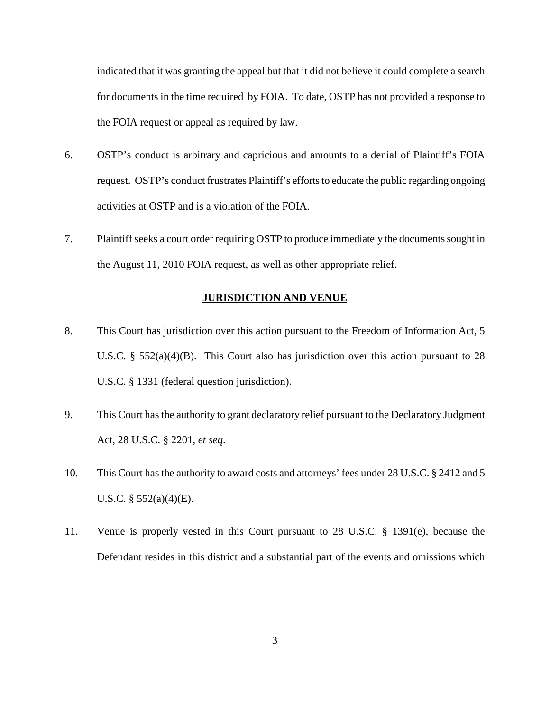indicated that it was granting the appeal but that it did not believe it could complete a search for documents in the time required by FOIA. To date, OSTP has not provided a response to the FOIA request or appeal as required by law.

- 6. OSTP's conduct is arbitrary and capricious and amounts to a denial of Plaintiff's FOIA request. OSTP's conduct frustrates Plaintiff's efforts to educate the public regarding ongoing activities at OSTP and is a violation of the FOIA.
- 7. Plaintiff seeks a court order requiring OSTP to produce immediately the documents sought in the August 11, 2010 FOIA request, as well as other appropriate relief.

#### **JURISDICTION AND VENUE**

- 8. This Court has jurisdiction over this action pursuant to the Freedom of Information Act, 5 U.S.C. §  $552(a)(4)(B)$ . This Court also has jurisdiction over this action pursuant to 28 U.S.C. § 1331 (federal question jurisdiction).
- 9. This Court has the authority to grant declaratory relief pursuant to the Declaratory Judgment Act, 28 U.S.C. § 2201, *et seq*.
- 10. This Court has the authority to award costs and attorneys' fees under 28 U.S.C. § 2412 and 5 U.S.C. § 552(a)(4)(E).
- 11. Venue is properly vested in this Court pursuant to 28 U.S.C. § 1391(e), because the Defendant resides in this district and a substantial part of the events and omissions which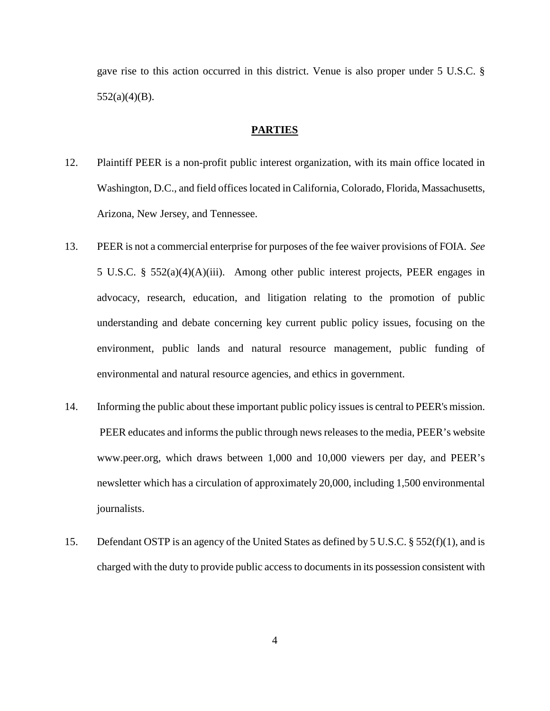gave rise to this action occurred in this district. Venue is also proper under 5 U.S.C. §  $552(a)(4)(B)$ .

#### **PARTIES**

- 12. Plaintiff PEER is a non-profit public interest organization, with its main office located in Washington, D.C., and field offices located in California, Colorado, Florida, Massachusetts, Arizona, New Jersey, and Tennessee.
- 13. PEER is not a commercial enterprise for purposes of the fee waiver provisions of FOIA. *See* 5 U.S.C. § 552(a)(4)(A)(iii). Among other public interest projects, PEER engages in advocacy, research, education, and litigation relating to the promotion of public understanding and debate concerning key current public policy issues, focusing on the environment, public lands and natural resource management, public funding of environmental and natural resource agencies, and ethics in government.
- 14. Informing the public about these important public policy issues is central to PEER's mission. PEER educates and informs the public through news releases to the media, PEER's website www.peer.org, which draws between 1,000 and 10,000 viewers per day, and PEER's newsletter which has a circulation of approximately 20,000, including 1,500 environmental journalists.
- 15. Defendant OSTP is an agency of the United States as defined by 5 U.S.C. § 552(f)(1), and is charged with the duty to provide public access to documents in its possession consistent with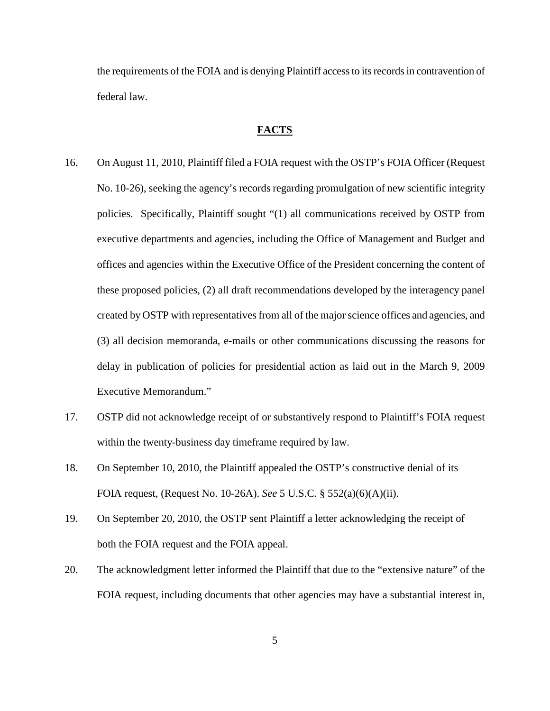the requirements of the FOIA and is denying Plaintiff access to its records in contravention of federal law.

#### **FACTS**

- 16. On August 11, 2010, Plaintiff filed a FOIA request with the OSTP's FOIA Officer (Request No. 10-26), seeking the agency's records regarding promulgation of new scientific integrity policies. Specifically, Plaintiff sought "(1) all communications received by OSTP from executive departments and agencies, including the Office of Management and Budget and offices and agencies within the Executive Office of the President concerning the content of these proposed policies, (2) all draft recommendations developed by the interagency panel created by OSTP with representatives from all of the major science offices and agencies, and (3) all decision memoranda, e-mails or other communications discussing the reasons for delay in publication of policies for presidential action as laid out in the March 9, 2009 Executive Memorandum."
- 17. OSTP did not acknowledge receipt of or substantively respond to Plaintiff's FOIA request within the twenty-business day timeframe required by law.
- 18. On September 10, 2010, the Plaintiff appealed the OSTP's constructive denial of its FOIA request, (Request No. 10-26A). *See* 5 U.S.C. § 552(a)(6)(A)(ii).
- 19. On September 20, 2010, the OSTP sent Plaintiff a letter acknowledging the receipt of both the FOIA request and the FOIA appeal.
- 20. The acknowledgment letter informed the Plaintiff that due to the "extensive nature" of the FOIA request, including documents that other agencies may have a substantial interest in,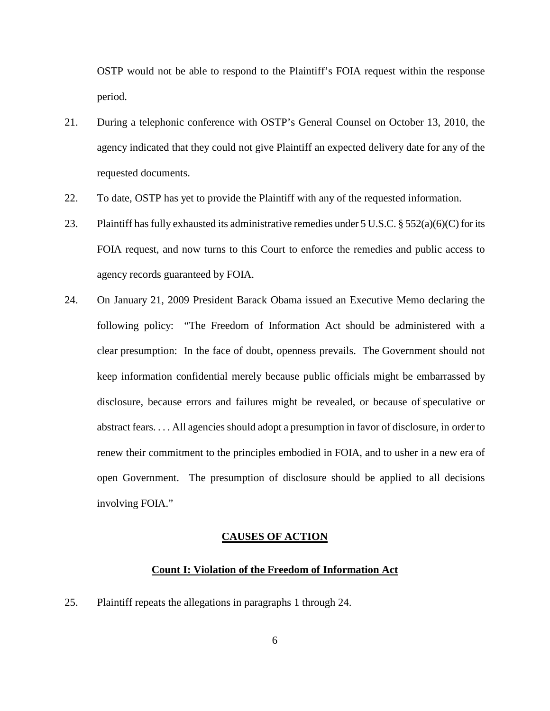OSTP would not be able to respond to the Plaintiff's FOIA request within the response period.

- 21. During a telephonic conference with OSTP's General Counsel on October 13, 2010, the agency indicated that they could not give Plaintiff an expected delivery date for any of the requested documents.
- 22. To date, OSTP has yet to provide the Plaintiff with any of the requested information.
- 23. Plaintiff has fully exhausted its administrative remedies under  $5 \text{ U.S.C.}$  §  $552(a)(6)(C)$  for its FOIA request, and now turns to this Court to enforce the remedies and public access to agency records guaranteed by FOIA.
- 24. On January 21, 2009 President Barack Obama issued an Executive Memo declaring the following policy: "The Freedom of Information Act should be administered with a clear presumption: In the face of doubt, openness prevails. The Government should not keep information confidential merely because public officials might be embarrassed by disclosure, because errors and failures might be revealed, or because of speculative or abstract fears. . . . All agencies should adopt a presumption in favor of disclosure, in order to renew their commitment to the principles embodied in FOIA, and to usher in a new era of open Government. The presumption of disclosure should be applied to all decisions involving FOIA."

## **CAUSES OF ACTION**

## **Count I: Violation of the Freedom of Information Act**

25. Plaintiff repeats the allegations in paragraphs 1 through 24.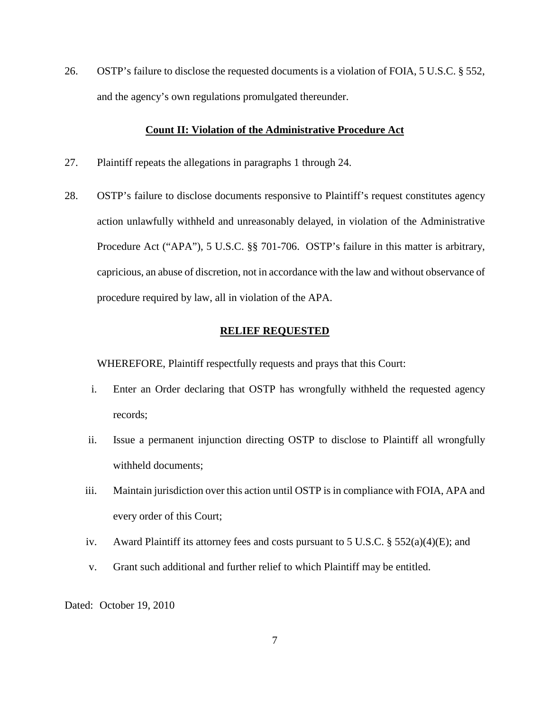26. OSTP's failure to disclose the requested documents is a violation of FOIA, 5 U.S.C. § 552, and the agency's own regulations promulgated thereunder.

## **Count II: Violation of the Administrative Procedure Act**

- 27. Plaintiff repeats the allegations in paragraphs 1 through 24.
- 28. OSTP's failure to disclose documents responsive to Plaintiff's request constitutes agency action unlawfully withheld and unreasonably delayed, in violation of the Administrative Procedure Act ("APA"), 5 U.S.C. §§ 701-706. OSTP's failure in this matter is arbitrary, capricious, an abuse of discretion, not in accordance with the law and without observance of procedure required by law, all in violation of the APA.

#### **RELIEF REQUESTED**

WHEREFORE, Plaintiff respectfully requests and prays that this Court:

- i. Enter an Order declaring that OSTP has wrongfully withheld the requested agency records;
- ii. Issue a permanent injunction directing OSTP to disclose to Plaintiff all wrongfully withheld documents;
- iii. Maintain jurisdiction over this action until OSTP is in compliance with FOIA, APA and every order of this Court;
- iv. Award Plaintiff its attorney fees and costs pursuant to 5 U.S.C. § 552(a)(4)(E); and
- v. Grant such additional and further relief to which Plaintiff may be entitled.

Dated: October 19, 2010